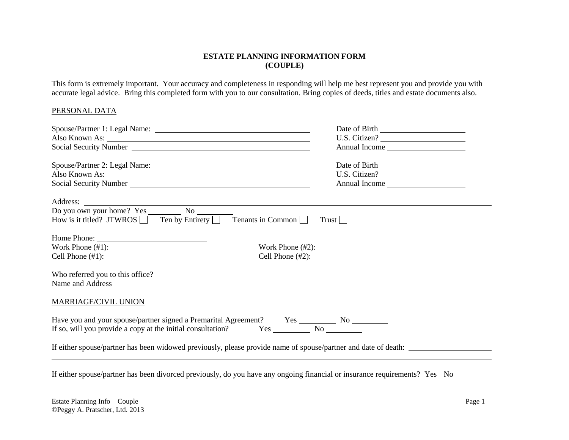### **ESTATE PLANNING INFORMATION FORM (COUPLE)**

This form is extremely important. Your accuracy and completeness in responding will help me best represent you and provide you with accurate legal advice. Bring this completed form with you to our consultation. Bring copies of deeds, titles and estate documents also.

### PERSONAL DATA

|                                                                                                                                                                                                                                | U.S. Citizen? |
|--------------------------------------------------------------------------------------------------------------------------------------------------------------------------------------------------------------------------------|---------------|
|                                                                                                                                                                                                                                | Annual Income |
|                                                                                                                                                                                                                                | Date of Birth |
|                                                                                                                                                                                                                                | U.S. Citizen? |
| Social Security Number League and Security Number                                                                                                                                                                              | Annual Income |
|                                                                                                                                                                                                                                |               |
|                                                                                                                                                                                                                                |               |
| How is it titled? JTWROS $\Box$ Ten by Entirety $\Box$ Tenants in Common $\Box$                                                                                                                                                | Trust         |
| Home Phone:                                                                                                                                                                                                                    |               |
|                                                                                                                                                                                                                                |               |
| Cell Phone $(\#1)$ :                                                                                                                                                                                                           |               |
| Who referred you to this office?                                                                                                                                                                                               |               |
| Name and Address experience and the state of the state of the state of the state of the state of the state of the state of the state of the state of the state of the state of the state of the state of the state of the stat |               |
| <b>MARRIAGE/CIVIL UNION</b>                                                                                                                                                                                                    |               |
|                                                                                                                                                                                                                                |               |
|                                                                                                                                                                                                                                |               |
| If either spouse/partner has been widowed previously, please provide name of spouse/partner and date of death:                                                                                                                 |               |
|                                                                                                                                                                                                                                |               |
| If either spouse/partner has been divorced previously, do you have any ongoing financial or insurance requirements? Yes No                                                                                                     |               |

Estate Planning Info – Couple Page 1 ©Peggy A. Pratscher, Ltd. 2013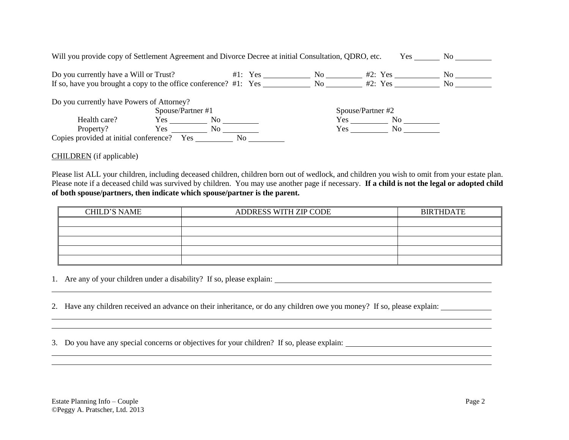| Will you provide copy of Settlement Agreement and Divorce Decree at initial Consultation, QDRO, etc. |                   |     |           |                      | Yes-              | No no                |
|------------------------------------------------------------------------------------------------------|-------------------|-----|-----------|----------------------|-------------------|----------------------|
| Do you currently have a Will or Trust?                                                               |                   |     | $#1:$ Yes | No the North Street. | #2: Yes           | No.                  |
| If so, have you brought a copy to the office conference? #1: Yes ________________                    |                   |     |           | No n                 | #2: Yes           | No the North Street. |
| Do you currently have Powers of Attorney?                                                            | Spouse/Partner #1 |     |           |                      | Spouse/Partner #2 |                      |
| Health care?                                                                                         | Yes               | No. |           | Yes                  | No.               |                      |
| Property?                                                                                            | Yes.              | No. |           | Yes                  | N <sub>0</sub>    |                      |
| Copies provided at initial conference?                                                               | Yes.              | No  |           |                      |                   |                      |

CHILDREN (if applicable)

Please list ALL your children, including deceased children, children born out of wedlock, and children you wish to omit from your estate plan. Please note if a deceased child was survived by children. You may use another page if necessary. **If a child is not the legal or adopted child of both spouse/partners, then indicate which spouse/partner is the parent.**

| <b>CHILD'S NAME</b> | ADDRESS WITH ZIP CODE | <b>BIRTHDATE</b> |
|---------------------|-----------------------|------------------|
|                     |                       |                  |
|                     |                       |                  |
|                     |                       |                  |
|                     |                       |                  |
|                     |                       |                  |

and the control of the control of the control of the control of the control of the control of the control of the

<u> 1989 - Andrea Santa Andrea Santa Andrea Santa Andrea Santa Andrea Santa Andrea Santa Andrea Santa Andrea San</u>

1. Are any of your children under a disability? If so, please explain:

2. Have any children received an advance on their inheritance, or do any children owe you money? If so, please explain:

3. Do you have any special concerns or objectives for your children? If so, please explain: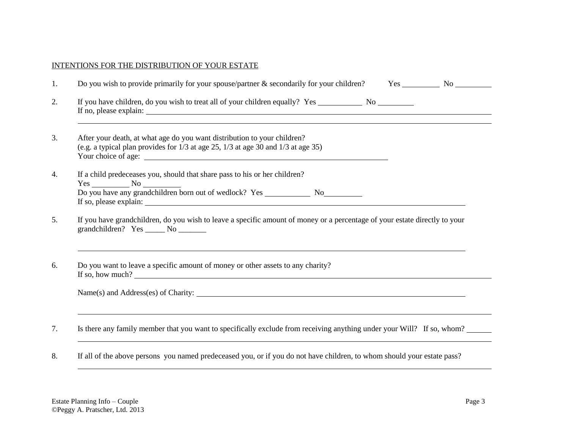# INTENTIONS FOR THE DISTRIBUTION OF YOUR ESTATE

| Do you wish to provide primarily for your spouse/partner & secondarily for your children? Yes No                                                                    |
|---------------------------------------------------------------------------------------------------------------------------------------------------------------------|
|                                                                                                                                                                     |
| After your death, at what age do you want distribution to your children?<br>(e.g. a typical plan provides for $1/3$ at age 25, $1/3$ at age 30 and $1/3$ at age 35) |
| If a child predeceases you, should that share pass to his or her children?<br>$Yes$ No $\qquad$                                                                     |
| If you have grandchildren, do you wish to leave a specific amount of money or a percentage of your estate directly to your<br>grandchildren? Yes ______ No _______  |
| Do you want to leave a specific amount of money or other assets to any charity?<br>If so, how much?                                                                 |
|                                                                                                                                                                     |
|                                                                                                                                                                     |
| Is there any family member that you want to specifically exclude from receiving anything under your Will? If so, whom?                                              |

l.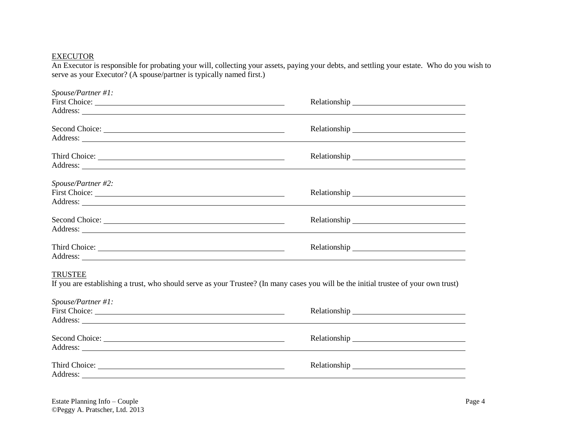## **EXECUTOR**

An Executor is responsible for probating your will, collecting your assets, paying your debts, and settling your estate. Who do you wish to serve as your Executor? (A spouse/partner is typically named first.)

| Spouse/Partner #1:                                                                                                                   |                                                                                                                                                                                                                                |
|--------------------------------------------------------------------------------------------------------------------------------------|--------------------------------------------------------------------------------------------------------------------------------------------------------------------------------------------------------------------------------|
|                                                                                                                                      | Relationship experience and the contract of the contract of the contract of the contract of the contract of the contract of the contract of the contract of the contract of the contract of the contract of the contract of th |
|                                                                                                                                      |                                                                                                                                                                                                                                |
| Second Choice:                                                                                                                       |                                                                                                                                                                                                                                |
|                                                                                                                                      |                                                                                                                                                                                                                                |
|                                                                                                                                      |                                                                                                                                                                                                                                |
|                                                                                                                                      |                                                                                                                                                                                                                                |
| Spouse/Partner #2:                                                                                                                   |                                                                                                                                                                                                                                |
|                                                                                                                                      |                                                                                                                                                                                                                                |
|                                                                                                                                      |                                                                                                                                                                                                                                |
| Second Choice:                                                                                                                       |                                                                                                                                                                                                                                |
|                                                                                                                                      |                                                                                                                                                                                                                                |
|                                                                                                                                      |                                                                                                                                                                                                                                |
|                                                                                                                                      |                                                                                                                                                                                                                                |
| <b>TRUSTEE</b>                                                                                                                       |                                                                                                                                                                                                                                |
| If you are establishing a trust, who should serve as your Trustee? (In many cases you will be the initial trustee of your own trust) |                                                                                                                                                                                                                                |
| Spouse/Partner #1:                                                                                                                   |                                                                                                                                                                                                                                |
|                                                                                                                                      |                                                                                                                                                                                                                                |
|                                                                                                                                      |                                                                                                                                                                                                                                |
|                                                                                                                                      |                                                                                                                                                                                                                                |
|                                                                                                                                      |                                                                                                                                                                                                                                |
|                                                                                                                                      |                                                                                                                                                                                                                                |
| Address:                                                                                                                             |                                                                                                                                                                                                                                |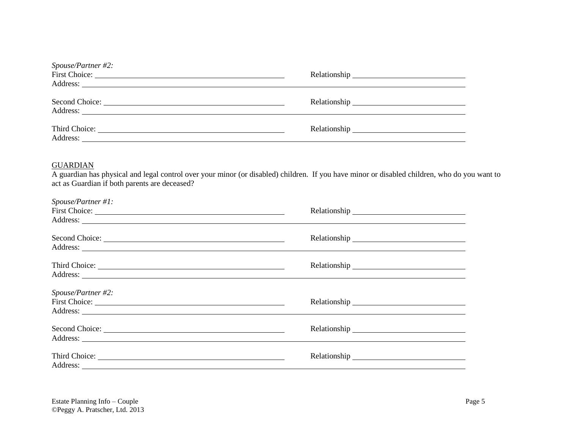| Spouse/Partner #2: |                                                                                                                                                                                                                                |
|--------------------|--------------------------------------------------------------------------------------------------------------------------------------------------------------------------------------------------------------------------------|
|                    |                                                                                                                                                                                                                                |
|                    | Relationship expansion of the set of the set of the set of the set of the set of the set of the set of the set of the set of the set of the set of the set of the set of the set of the set of the set of the set of the set o |

## **GUARDIAN**

A guardian has physical and legal control over your minor (or disabled) children. If you have minor or disabled children, who do you want to act as Guardian if both parents are deceased?

| $Spouse/ Partner\#1$ : |  |
|------------------------|--|
| Second Choice:         |  |
|                        |  |
| Spouse/Partner #2:     |  |
|                        |  |
|                        |  |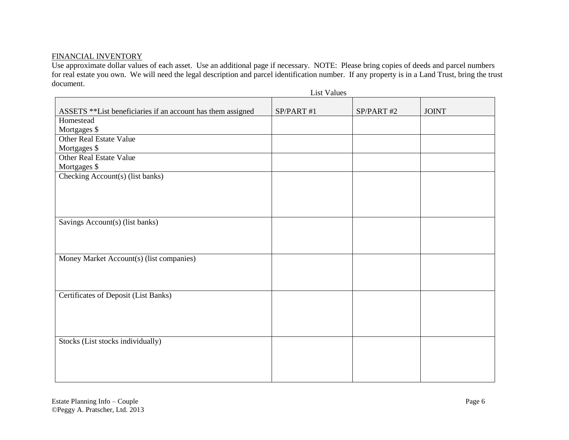## FINANCIAL INVENTORY

Use approximate dollar values of each asset. Use an additional page if necessary. NOTE: Please bring copies of deeds and parcel numbers for real estate you own. We will need the legal description and parcel identification number. If any property is in a Land Trust, bring the trust document.

|                                                              | <b>List Values</b> |           |              |
|--------------------------------------------------------------|--------------------|-----------|--------------|
| ASSETS ** List beneficiaries if an account has them assigned | SP/PART #1         | SP/PART#2 | <b>JOINT</b> |
| Homestead                                                    |                    |           |              |
| Mortgages \$                                                 |                    |           |              |
| <b>Other Real Estate Value</b>                               |                    |           |              |
| Mortgages \$                                                 |                    |           |              |
| Other Real Estate Value                                      |                    |           |              |
| Mortgages \$                                                 |                    |           |              |
| Checking Account(s) (list banks)                             |                    |           |              |
|                                                              |                    |           |              |
|                                                              |                    |           |              |
|                                                              |                    |           |              |
|                                                              |                    |           |              |
| Savings Account(s) (list banks)                              |                    |           |              |
|                                                              |                    |           |              |
|                                                              |                    |           |              |
|                                                              |                    |           |              |
| Money Market Account(s) (list companies)                     |                    |           |              |
|                                                              |                    |           |              |
|                                                              |                    |           |              |
| Certificates of Deposit (List Banks)                         |                    |           |              |
|                                                              |                    |           |              |
|                                                              |                    |           |              |
|                                                              |                    |           |              |
|                                                              |                    |           |              |
| Stocks (List stocks individually)                            |                    |           |              |
|                                                              |                    |           |              |
|                                                              |                    |           |              |
|                                                              |                    |           |              |
|                                                              |                    |           |              |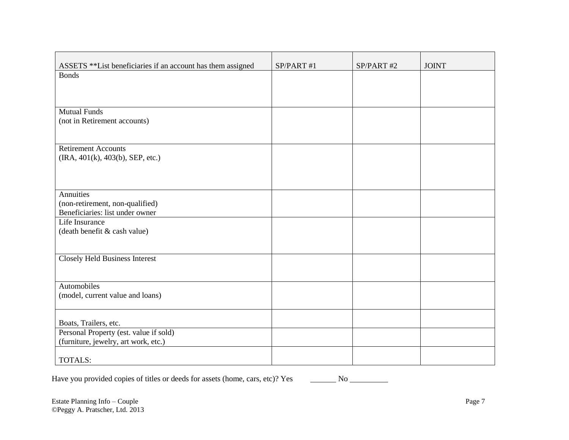| ASSETS **List beneficiaries if an account has them assigned | SP/PART #1 | SP/PART#2 | <b>JOINT</b> |
|-------------------------------------------------------------|------------|-----------|--------------|
| <b>Bonds</b>                                                |            |           |              |
|                                                             |            |           |              |
|                                                             |            |           |              |
|                                                             |            |           |              |
| <b>Mutual Funds</b>                                         |            |           |              |
| (not in Retirement accounts)                                |            |           |              |
|                                                             |            |           |              |
|                                                             |            |           |              |
| <b>Retirement Accounts</b>                                  |            |           |              |
| (IRA, 401(k), 403(b), SEP, etc.)                            |            |           |              |
|                                                             |            |           |              |
|                                                             |            |           |              |
| Annuities                                                   |            |           |              |
| (non-retirement, non-qualified)                             |            |           |              |
| Beneficiaries: list under owner                             |            |           |              |
| Life Insurance                                              |            |           |              |
| (death benefit & cash value)                                |            |           |              |
|                                                             |            |           |              |
|                                                             |            |           |              |
| <b>Closely Held Business Interest</b>                       |            |           |              |
|                                                             |            |           |              |
|                                                             |            |           |              |
| Automobiles                                                 |            |           |              |
| (model, current value and loans)                            |            |           |              |
|                                                             |            |           |              |
|                                                             |            |           |              |
| Boats, Trailers, etc.                                       |            |           |              |
| Personal Property (est. value if sold)                      |            |           |              |
| (furniture, jewelry, art work, etc.)                        |            |           |              |
|                                                             |            |           |              |
| <b>TOTALS:</b>                                              |            |           |              |

Have you provided copies of titles or deeds for assets (home, cars, etc)? Yes No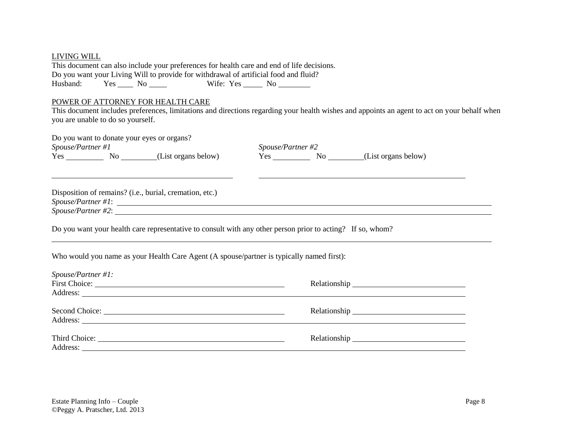| <b>LIVING WILL</b>                         |  |                                                                                                                                                                                                                                                                    |                   |                                                                                                                                                                                                                                |  |
|--------------------------------------------|--|--------------------------------------------------------------------------------------------------------------------------------------------------------------------------------------------------------------------------------------------------------------------|-------------------|--------------------------------------------------------------------------------------------------------------------------------------------------------------------------------------------------------------------------------|--|
|                                            |  | This document can also include your preferences for health care and end of life decisions.                                                                                                                                                                         |                   |                                                                                                                                                                                                                                |  |
|                                            |  | Do you want your Living Will to provide for withdrawal of artificial food and fluid?                                                                                                                                                                               |                   |                                                                                                                                                                                                                                |  |
|                                            |  |                                                                                                                                                                                                                                                                    |                   |                                                                                                                                                                                                                                |  |
| POWER OF ATTORNEY FOR HEALTH CARE          |  |                                                                                                                                                                                                                                                                    |                   |                                                                                                                                                                                                                                |  |
| you are unable to do so yourself.          |  |                                                                                                                                                                                                                                                                    |                   | This document includes preferences, limitations and directions regarding your health wishes and appoints an agent to act on your behalf when                                                                                   |  |
| Do you want to donate your eyes or organs? |  |                                                                                                                                                                                                                                                                    |                   |                                                                                                                                                                                                                                |  |
| Spouse/Partner #1                          |  |                                                                                                                                                                                                                                                                    | Spouse/Partner #2 |                                                                                                                                                                                                                                |  |
|                                            |  | Yes No (List organs below)                                                                                                                                                                                                                                         |                   | Yes No (List organs below)                                                                                                                                                                                                     |  |
|                                            |  | Disposition of remains? (i.e., burial, cremation, etc.)<br>Do you want your health care representative to consult with any other person prior to acting? If so, whom?<br>Who would you name as your Health Care Agent (A spouse/partner is typically named first): |                   | $Spouse/Patterner \#2$ :                                                                                                                                                                                                       |  |
|                                            |  |                                                                                                                                                                                                                                                                    |                   |                                                                                                                                                                                                                                |  |
| Spouse/Partner #1:                         |  |                                                                                                                                                                                                                                                                    |                   |                                                                                                                                                                                                                                |  |
|                                            |  |                                                                                                                                                                                                                                                                    |                   | Relationship experience and the set of the set of the set of the set of the set of the set of the set of the set of the set of the set of the set of the set of the set of the set of the set of the set of the set of the set |  |
|                                            |  | Address:                                                                                                                                                                                                                                                           |                   |                                                                                                                                                                                                                                |  |
|                                            |  |                                                                                                                                                                                                                                                                    |                   | Relationship expression and the set of the set of the set of the set of the set of the set of the set of the set of the set of the set of the set of the set of the set of the set of the set of the set of the set of the set |  |
|                                            |  | Address: <u>Address:</u>                                                                                                                                                                                                                                           |                   |                                                                                                                                                                                                                                |  |
| Address:                                   |  |                                                                                                                                                                                                                                                                    |                   | Relationship experience and the set of the set of the set of the set of the set of the set of the set of the set of the set of the set of the set of the set of the set of the set of the set of the set of the set of the set |  |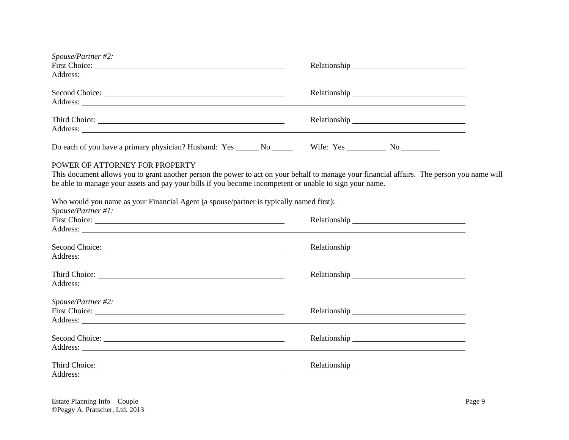| Spouse/Partner #2:                                                                                                                                                                                                                                                                       |  |
|------------------------------------------------------------------------------------------------------------------------------------------------------------------------------------------------------------------------------------------------------------------------------------------|--|
| Address: <u>Quarterial and the contract of the contract of the contract of the contract of the contract of the contract of the contract of the contract of the contract of the contract of the contract of the contract of the c</u>                                                     |  |
|                                                                                                                                                                                                                                                                                          |  |
| Do each of you have a primary physician? Husband: Yes ______ No ________ Wife: Yes _________ No __________                                                                                                                                                                               |  |
| POWER OF ATTORNEY FOR PROPERTY<br>This document allows you to grant another person the power to act on your behalf to manage your financial affairs. The person you name will<br>be able to manage your assets and pay your bills if you become incompetent or unable to sign your name. |  |
| Who would you name as your Financial Agent (a spouse/partner is typically named first):                                                                                                                                                                                                  |  |
| Spouse/Partner #1:<br>Address: the contract of the contract of the contract of the contract of the contract of the contract of the contract of the contract of the contract of the contract of the contract of the contract of the contract of the c                                     |  |
| Second Choice:                                                                                                                                                                                                                                                                           |  |
|                                                                                                                                                                                                                                                                                          |  |
| Spouse/Partner #2:                                                                                                                                                                                                                                                                       |  |
| Address: <u>New York: Address:</u> New York: 1997                                                                                                                                                                                                                                        |  |
|                                                                                                                                                                                                                                                                                          |  |